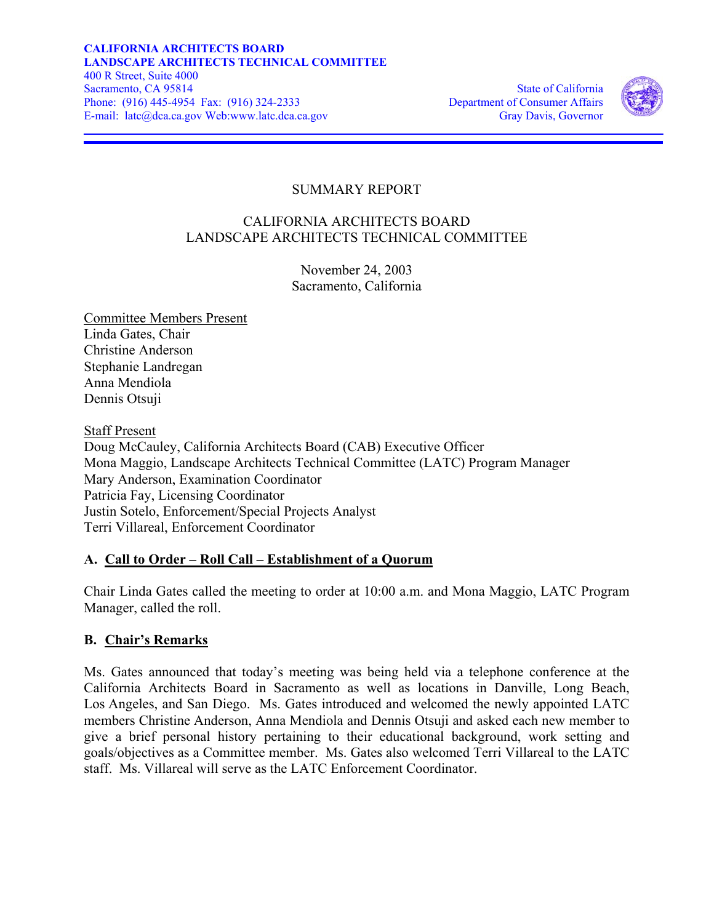

# SUMMARY REPORT

## CALIFORNIA ARCHITECTS BOARD LANDSCAPE ARCHITECTS TECHNICAL COMMITTEE

November 24, 2003 Sacramento, California

Committee Members Present Linda Gates, Chair Christine Anderson Stephanie Landregan Anna Mendiola Dennis Otsuji

**Staff Present** Doug McCauley, California Architects Board (CAB) Executive Officer Mona Maggio, Landscape Architects Technical Committee (LATC) Program Manager Mary Anderson, Examination Coordinator Patricia Fay, Licensing Coordinator Justin Sotelo, Enforcement/Special Projects Analyst Terri Villareal, Enforcement Coordinator

## **A. Call to Order – Roll Call – Establishment of a Quorum**

Chair Linda Gates called the meeting to order at 10:00 a.m. and Mona Maggio, LATC Program Manager, called the roll.

## **B. Chair's Remarks**

Ms. Gates announced that today's meeting was being held via a telephone conference at the California Architects Board in Sacramento as well as locations in Danville, Long Beach, Los Angeles, and San Diego. Ms. Gates introduced and welcomed the newly appointed LATC members Christine Anderson, Anna Mendiola and Dennis Otsuji and asked each new member to give a brief personal history pertaining to their educational background, work setting and goals/objectives as a Committee member. Ms. Gates also welcomed Terri Villareal to the LATC staff. Ms. Villareal will serve as the LATC Enforcement Coordinator.